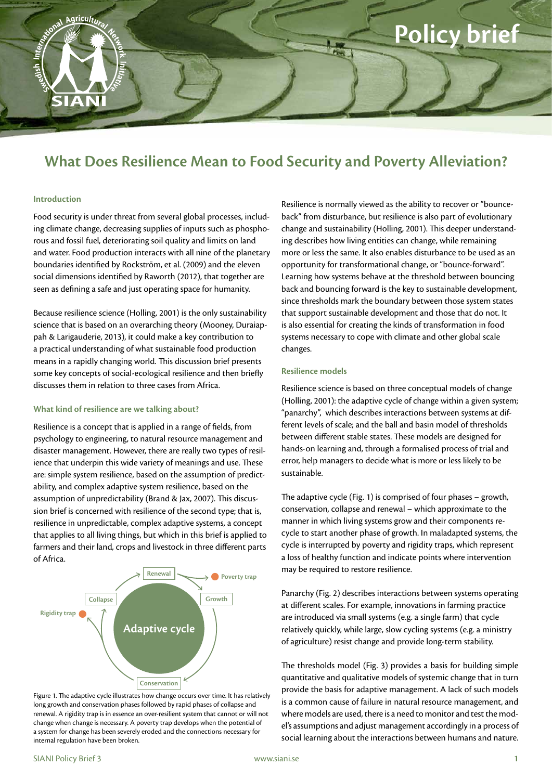# **Policy brief**

## **What Does Resilience Mean to Food Security and Poverty Alleviation?**

#### **Introduction**

Agricultura

SIANI

Food security is under threat from several global processes, including climate change, decreasing supplies of inputs such as phosphorous and fossil fuel, deteriorating soil quality and limits on land and water. Food production interacts with all nine of the planetary boundaries identified by Rockström, et al. (2009) and the eleven social dimensions identified by Raworth (2012), that together are seen as defining a safe and just operating space for humanity.

Because resilience science (Holling, 2001) is the only sustainability science that is based on an overarching theory (Mooney, Duraiappah & Larigauderie, 2013), it could make a key contribution to a practical understanding of what sustainable food production means in a rapidly changing world. This discussion brief presents some key concepts of social-ecological resilience and then briefly discusses them in relation to three cases from Africa.

#### **What kind of resilience are we talking about?**

Resilience is a concept that is applied in a range of fields, from psychology to engineering, to natural resource management and disaster management. However, there are really two types of resilience that underpin this wide variety of meanings and use. These are: simple system resilience, based on the assumption of predictability, and complex adaptive system resilience, based on the assumption of unpredictability (Brand & Jax, 2007). This discussion brief is concerned with resilience of the second type; that is, resilience in unpredictable, complex adaptive systems, a concept that applies to all living things, but which in this brief is applied to farmers and their land, crops and livestock in three different parts of Africa.



Figure 1. The adaptive cycle illustrates how change occurs over time. It has relatively long growth and conservation phases followed by rapid phases of collapse and renewal. A rigidity trap is in essence an over-resilient system that cannot or will not change when change is necessary. A poverty trap develops when the potential of a system for change has been severely eroded and the connections necessary for internal regulation have been broken.

Resilience is normally viewed as the ability to recover or "bounceback" from disturbance, but resilience is also part of evolutionary change and sustainability (Holling, 2001). This deeper understanding describes how living entities can change, while remaining more or less the same. It also enables disturbance to be used as an opportunity for transformational change, or "bounce-forward". Learning how systems behave at the threshold between bouncing back and bouncing forward is the key to sustainable development, since thresholds mark the boundary between those system states that support sustainable development and those that do not. It is also essential for creating the kinds of transformation in food systems necessary to cope with climate and other global scale changes.

#### **Resilience models**

Resilience science is based on three conceptual models of change (Holling, 2001): the adaptive cycle of change within a given system; "panarchy", which describes interactions between systems at different levels of scale; and the ball and basin model of thresholds between different stable states. These models are designed for hands-on learning and, through a formalised process of trial and error, help managers to decide what is more or less likely to be sustainable.

The adaptive cycle (Fig. 1) is comprised of four phases – growth, conservation, collapse and renewal – which approximate to the manner in which living systems grow and their components recycle to start another phase of growth. In maladapted systems, the cycle is interrupted by poverty and rigidity traps, which represent a loss of healthy function and indicate points where intervention may be required to restore resilience.

Panarchy (Fig. 2) describes interactions between systems operating at different scales. For example, innovations in farming practice are introduced via small systems (e.g. a single farm) that cycle relatively quickly, while large, slow cycling systems (e.g. a ministry of agriculture) resist change and provide long-term stability.

The thresholds model (Fig. 3) provides a basis for building simple quantitative and qualitative models of systemic change that in turn provide the basis for adaptive management. A lack of such models is a common cause of failure in natural resource management, and where models are used, there is a need to monitor and test the model's assumptions and adjust management accordingly in a process of social learning about the interactions between humans and nature.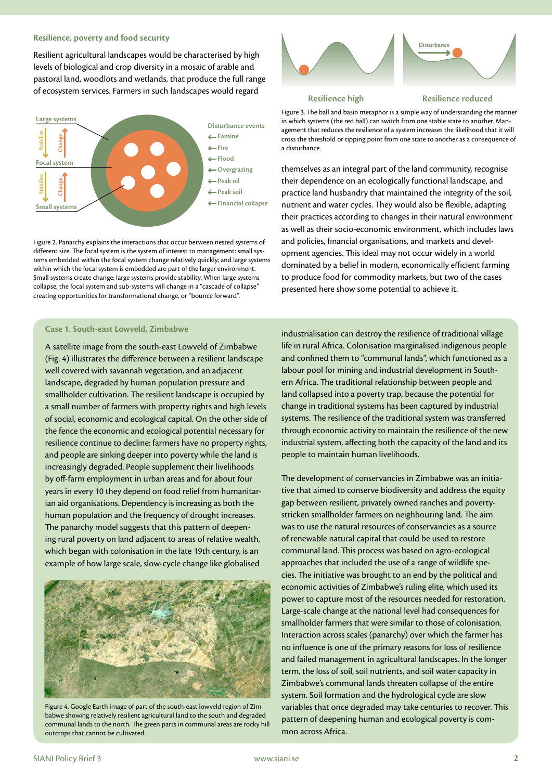#### **Resilience, poverty and food security**

Resilient agricultural landscapes would be characterised by high levels of biological and crop diversity in a mosaic of arable and pastoral land, woodlots and wetlands, that produce the full range of ecosystem services. Farmers in such landscapes would regard



Figure 2. Panarchy explains the interactions that occur between nested systems of different size. The focal system is the system of interest to management: small systems embedded within the focal system change relatively quickly; and large systems within which the focal system is embedded are part of the larger environment. Small systems create change; large systems provide stability. When large systems collapse, the focal system and sub-systems will change in a "cascade of collapse" creating opportunities for transformational change, or "bounce forward".

# **Disturbance**

**Resilience high**

**Resilience reduced**

Figure 3. The ball and basin metaphor is a simple way of understanding the manner in which systems (the red ball) can switch from one stable state to another. Management that reduces the resilience of a system increases the likelihood that it will cross the threshold or tipping point from one state to another as a consequence of a disturbance.

themselves as an integral part of the land community, recognise their dependence on an ecologically functional landscape, and practice land husbandry that maintained the integrity of the soil, nutrient and water cycles. They would also be flexible, adapting their practices according to changes in their natural environment as well as their socio-economic environment, which includes laws and policies, financial organisations, and markets and development agencies. This ideal may not occur widely in a world dominated by a belief in modern, economically efficient farming to produce food for commodity markets, but two of the cases presented here show some potential to achieve it.

#### **Case 1. South-east Lowveld, Zimbabwe**

A satellite image from the south-east Lowveld of Zimbabwe (Fig. 4) illustrates the difference between a resilient landscape well covered with savannah vegetation, and an adjacent landscape, degraded by human population pressure and smallholder cultivation. The resilient landscape is occupied by a small number of farmers with property rights and high levels of social, economic and ecological capital. On the other side of the fence the economic and ecological potential necessary for resilience continue to decline: farmers have no property rights, and people are sinking deeper into poverty while the land is increasingly degraded. People supplement their livelihoods by off-farm employment in urban areas and for about four years in every 10 they depend on food relief from humanitarian aid organisations. Dependency is increasing as both the human population and the frequency of drought increases. The panarchy model suggests that this pattern of deepening rural poverty on land adjacent to areas of relative wealth, which began with colonisation in the late 19th century, is an example of how large scale, slow-cycle change like globalised



Figure 4. Google Earth image of part of the south-east lowveld region of Zimbabwe showing relatively resilient agricultural land to the south and degraded communal lands to the north. The green parts in communal areas are rocky hill outcrops that cannot be cultivated.

industrialisation can destroy the resilience of traditional village life in rural Africa. Colonisation marginalised indigenous people and confined them to "communal lands", which functioned as a labour pool for mining and industrial development in Southern Africa. The traditional relationship between people and land collapsed into a poverty trap, because the potential for change in traditional systems has been captured by industrial systems. The resilience of the traditional system was transferred through economic activity to maintain the resilience of the new industrial system, affecting both the capacity of the land and its people to maintain human livelihoods.

The development of conservancies in Zimbabwe was an initiative that aimed to conserve biodiversity and address the equity gap between resilient, privately owned ranches and povertystricken smallholder farmers on neighbouring land. The aim was to use the natural resources of conservancies as a source of renewable natural capital that could be used to restore communal land. This process was based on agro-ecological approaches that included the use of a range of wildlife species. The initiative was brought to an end by the political and economic activities of Zimbabwe's ruling elite, which used its power to capture most of the resources needed for restoration. Large-scale change at the national level had consequences for smallholder farmers that were similar to those of colonisation. Interaction across scales (panarchy) over which the farmer has no influence is one of the primary reasons for loss of resilience and failed management in agricultural landscapes. In the longer term, the loss of soil, soil nutrients, and soil water capacity in Zimbabwe's communal lands threaten collapse of the entire system. Soil formation and the hydrological cycle are slow variables that once degraded may take centuries to recover. This pattern of deepening human and ecological poverty is common across Africa.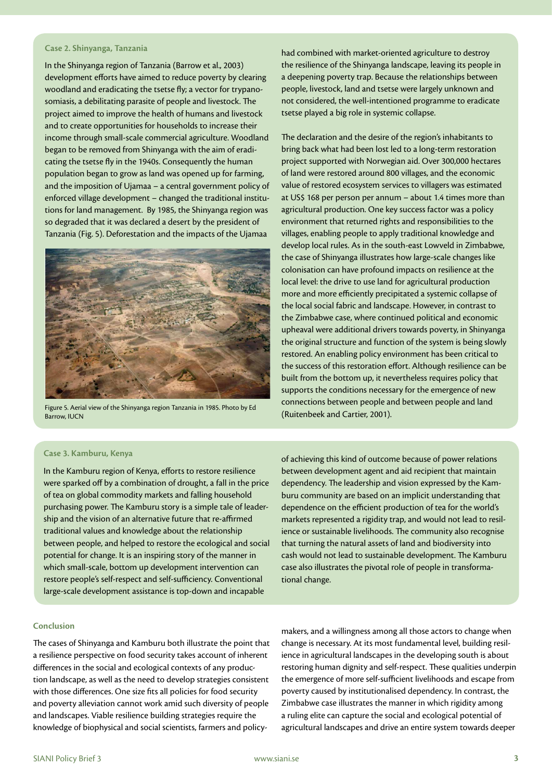#### **Case 2. Shinyanga, Tanzania**

In the Shinyanga region of Tanzania (Barrow et al., 2003) development efforts have aimed to reduce poverty by clearing woodland and eradicating the tsetse fly; a vector for trypanosomiasis, a debilitating parasite of people and livestock. The project aimed to improve the health of humans and livestock and to create opportunities for households to increase their income through small-scale commercial agriculture. Woodland began to be removed from Shinyanga with the aim of eradicating the tsetse fly in the 1940s. Consequently the human population began to grow as land was opened up for farming, and the imposition of Ujamaa – a central government policy of enforced village development – changed the traditional institutions for land management. By 1985, the Shinyanga region was so degraded that it was declared a desert by the president of Tanzania (Fig. 5). Deforestation and the impacts of the Ujamaa



Figure 5. Aerial view of the Shinyanga region Tanzania in 1985. Photo by Ed<br>Rarrow ILICN (Ruitenbeek and Cartier, 2001). Barrow, IUCN

had combined with market-oriented agriculture to destroy the resilience of the Shinyanga landscape, leaving its people in a deepening poverty trap. Because the relationships between people, livestock, land and tsetse were largely unknown and not considered, the well-intentioned programme to eradicate tsetse played a big role in systemic collapse.

The declaration and the desire of the region's inhabitants to bring back what had been lost led to a long-term restoration project supported with Norwegian aid. Over 300,000 hectares of land were restored around 800 villages, and the economic value of restored ecosystem services to villagers was estimated at US\$ 168 per person per annum – about 1.4 times more than agricultural production. One key success factor was a policy environment that returned rights and responsibilities to the villages, enabling people to apply traditional knowledge and develop local rules. As in the south-east Lowveld in Zimbabwe, the case of Shinyanga illustrates how large-scale changes like colonisation can have profound impacts on resilience at the local level: the drive to use land for agricultural production more and more efficiently precipitated a systemic collapse of the local social fabric and landscape. However, in contrast to the Zimbabwe case, where continued political and economic upheaval were additional drivers towards poverty, in Shinyanga the original structure and function of the system is being slowly restored. An enabling policy environment has been critical to the success of this restoration effort. Although resilience can be built from the bottom up, it nevertheless requires policy that supports the conditions necessary for the emergence of new connections between people and between people and land

#### **Case 3. Kamburu, Kenya**

In the Kamburu region of Kenya, efforts to restore resilience were sparked off by a combination of drought, a fall in the price of tea on global commodity markets and falling household purchasing power. The Kamburu story is a simple tale of leadership and the vision of an alternative future that re-affirmed traditional values and knowledge about the relationship between people, and helped to restore the ecological and social potential for change. It is an inspiring story of the manner in which small-scale, bottom up development intervention can restore people's self-respect and self-sufficiency. Conventional large-scale development assistance is top-down and incapable

of achieving this kind of outcome because of power relations between development agent and aid recipient that maintain dependency. The leadership and vision expressed by the Kamburu community are based on an implicit understanding that dependence on the efficient production of tea for the world's markets represented a rigidity trap, and would not lead to resilience or sustainable livelihoods. The community also recognise that turning the natural assets of land and biodiversity into cash would not lead to sustainable development. The Kamburu case also illustrates the pivotal role of people in transformational change.

#### **Conclusion**

The cases of Shinyanga and Kamburu both illustrate the point that a resilience perspective on food security takes account of inherent differences in the social and ecological contexts of any production landscape, as well as the need to develop strategies consistent with those differences. One size fits all policies for food security and poverty alleviation cannot work amid such diversity of people and landscapes. Viable resilience building strategies require the knowledge of biophysical and social scientists, farmers and policymakers, and a willingness among all those actors to change when change is necessary. At its most fundamental level, building resilience in agricultural landscapes in the developing south is about restoring human dignity and self-respect. These qualities underpin the emergence of more self-sufficient livelihoods and escape from poverty caused by institutionalised dependency. In contrast, the Zimbabwe case illustrates the manner in which rigidity among a ruling elite can capture the social and ecological potential of agricultural landscapes and drive an entire system towards deeper